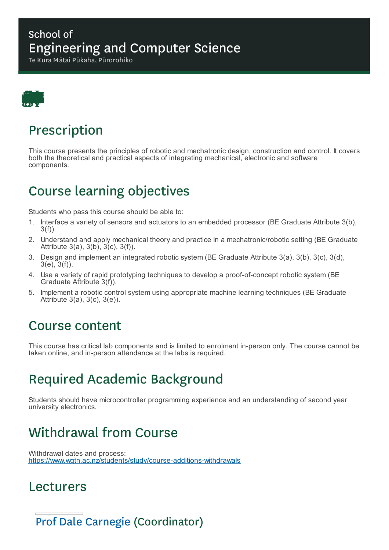#### School of Engineering and Computer Science

Te Kura Mātai Pūkaha, Pūrorohiko



## Prescription

This course presents the principles of robotic and mechatronic design, construction and control. It covers both the theoretical and practical aspects of integrating mechanical, electronic and software components.

# Course learning objectives

Students who pass this course should be able to:

- 1. Interface a variety of sensors and actuators to an embedded processor (BE Graduate Attribute 3(b), 3(f)).
- 2. Understand and apply mechanical theory and practice in a mechatronic/robotic setting (BE Graduate Attribute 3(a), 3(b), 3(c), 3(f)).
- 3. Design and implement an integrated robotic system (BE Graduate Attribute 3(a), 3(b), 3(c), 3(d), 3(e), 3(f)).
- 4. Use a variety of rapid prototyping techniques to develop a proof-of-concept robotic system (BE Graduate Attribute 3(f)).
- 5. Implement a robotic control system using appropriate machine learning techniques (BE Graduate Attribute 3(a), 3(c), 3(e)).

#### Course content

This course has critical lab components and is limited to enrolment in-person only. The course cannot be taken online, and in-person attendance at the labs is required.

# Required Academic Background

Students should have microcontroller programming experience and an understanding of second year university electronics.

# Withdrawal from Course

Withdrawal dates and process: https://www.wgtn.ac.nz/students/study/course-additions-withdrawals

### Lecturers

Prof Dale Carnegie (Coordinator)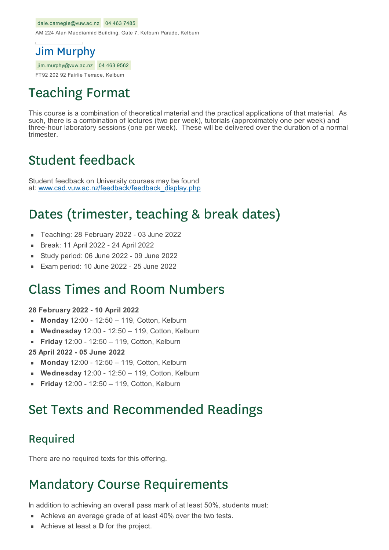#### dale.carnegie@vuw.ac.nz 04 463 7485

AM 224 Alan Macdiarmid Building, Gate 7, Kelburn Parade, Kelburn

#### Jim Murphy

jim.murphy@vuw.ac.nz 04 463 9562

FT92 202 92 Fairlie Terrace, Kelburn

## Teaching Format

This course is a combination of theoretical material and the practical applications of that material. As such, there is a combination of lectures (two per week), tutorials (approximately one per week) and three-hour laboratory sessions (one per week). These will be delivered over the duration of a normal trimester.

## Student feedback

Student feedback on University courses may be found at: www.cad.vuw.ac.nz/feedback/feedback\_display.php

### Dates (trimester, teaching & break dates)

- Teaching: 28 February 2022 03 June 2022
- Break: 11 April 2022 24 April 2022
- Study period: 06 June 2022 09 June 2022
- Exam period: 10 June 2022 25 June 2022

#### Class Times and Room Numbers

#### **28 February 2022 - 10 April 2022**

- **Monday** 12:00 12:50 119, Cotton, Kelburn
- **Wednesday** 12:00 12:50 119, Cotton, Kelburn  $\blacksquare$
- **Friday** 12:00 12:50 119, Cotton, Kelburn  $\blacksquare$
- **25 April 2022 - 05 June 2022**
- **Monday** 12:00 12:50 119, Cotton, Kelburn
- **Wednesday** 12:00 12:50 119, Cotton, Kelburn
- **Friday** 12:00 12:50 119, Cotton, Kelburn

## Set Texts and Recommended Readings

#### Required

There are no required texts for this offering.

## Mandatory Course Requirements

In addition to achieving an overall pass mark of at least 50%, students must:

- Achieve an average grade of at least 40% over the two tests.
- Achieve at least a **D** for the project.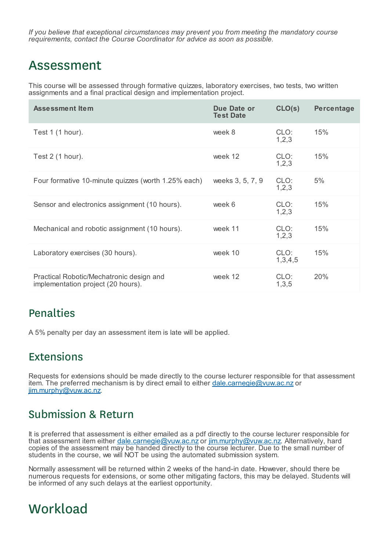*If you believe that exceptional circumstances may prevent you from meeting the mandatory course requirements, contact the Course Coordinator for advice as soon as possible.*

#### Assessment

This course will be assessed through formative quizzes, laboratory exercises, two tests, two written assignments and a final practical design and implementation project.

| <b>Assessment Item</b>                                                         | Due Date or<br><b>Test Date</b> | CLO(s)          | <b>Percentage</b> |
|--------------------------------------------------------------------------------|---------------------------------|-----------------|-------------------|
| Test 1 (1 hour).                                                               | week 8                          | CLO:<br>1,2,3   | 15%               |
| Test $2(1 hour)$ .                                                             | week 12                         | CLO:<br>1,2,3   | 15%               |
| Four formative 10-minute quizzes (worth 1.25% each)                            | weeks 3, 5, 7, 9                | CLO:<br>1, 2, 3 | 5%                |
| Sensor and electronics assignment (10 hours).                                  | week 6                          | CLO:<br>1,2,3   | 15%               |
| Mechanical and robotic assignment (10 hours).                                  | week 11                         | CLO:<br>1, 2, 3 | 15%               |
| Laboratory exercises (30 hours).                                               | week 10                         | CLO:<br>1,3,4,5 | 15%               |
| Practical Robotic/Mechatronic design and<br>implementation project (20 hours). | week 12                         | CLO:<br>1,3,5   | 20%               |

#### Penalties

A 5% penalty per day an assessment item is late will be applied.

#### Extensions

Requests for extensions should be made directly to the course lecturer responsible for that assessment item. The preferred mechanism is by direct email to either dale.carnegie@vuw.ac.nz or jim.murphy@vuw.ac.nz.

#### Submission & Return

It is preferred that assessment is either emailed as a pdf directly to the course lecturer responsible for that assessment item either dale.carnegie@vuw.ac.nz or jim.murphy@vuw.ac.nz. Alternatively, hard copies of the assessment may be handed directly to the course lecturer. Due to the small number of students in the course, we will NOT be using the automated submission system.

Normally assessment will be returned within 2 weeks of the hand-in date. However, should there be numerous requests for extensions, or some other mitigating factors, this may be delayed. Students will be informed of any such delays at the earliest opportunity.

## **Workload**